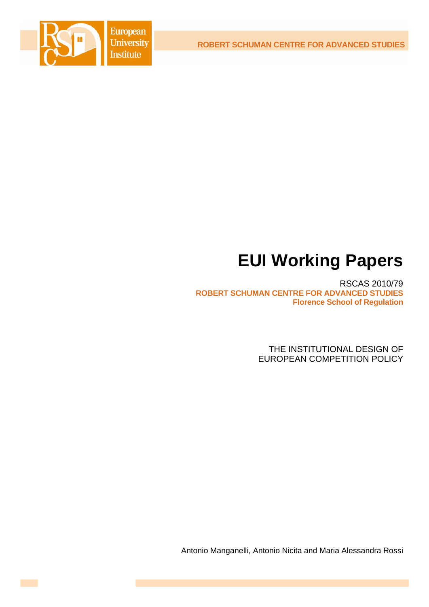**ROBERT SCHUMAN CENTRE FOR ADVANCED STUDIES**



# **EUI Working Papers**

RSCAS 2010/79 **ROBERT SCHUMAN CENTRE FOR ADVANCED STUDIES Florence School of Regulation**

> THE INSTITUTIONAL DESIGN OF EUROPEAN COMPETITION POLICY

Antonio Manganelli, Antonio Nicita and Maria Alessandra Rossi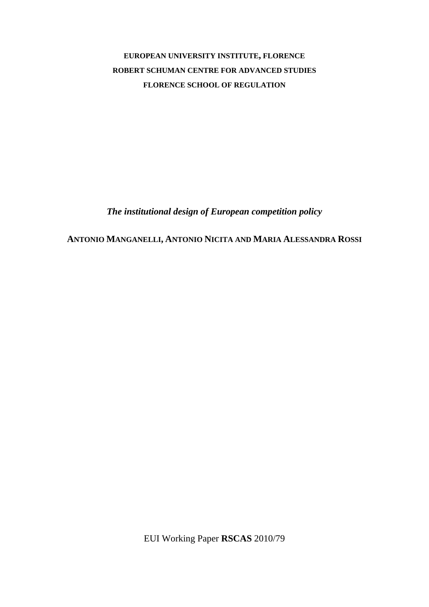# **EUROPEAN UNIVERSITY INSTITUTE, FLORENCE ROBERT SCHUMAN CENTRE FOR ADVANCED STUDIES FLORENCE SCHOOL OF REGULATION**

*The institutional design of European competition policy* 

**ANTONIO MANGANELLI, ANTONIO NICITA AND MARIA ALESSANDRA ROSSI**

EUI Working Paper **RSCAS** 2010/79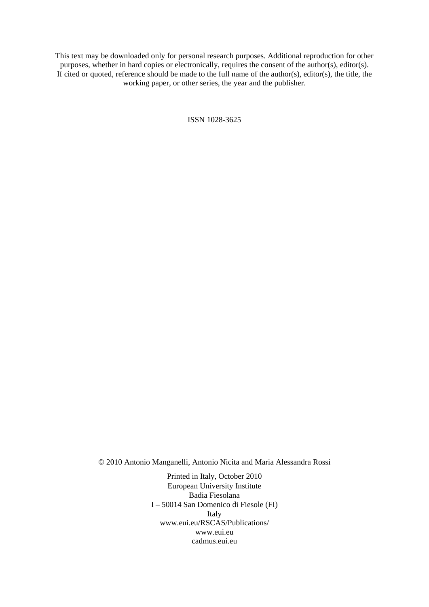This text may be downloaded only for personal research purposes. Additional reproduction for other purposes, whether in hard copies or electronically, requires the consent of the author(s), editor(s). If cited or quoted, reference should be made to the full name of the author(s), editor(s), the title, the working paper, or other series, the year and the publisher.

ISSN 1028-3625

© 2010 Antonio Manganelli, Antonio Nicita and Maria Alessandra Rossi

Printed in Italy, October 2010 European University Institute Badia Fiesolana I – 50014 San Domenico di Fiesole (FI) Italy [www.eui.eu/RSCAS/Publications/](http://www.eui.eu/RSCAS/Publications/)  [www.eui.eu](http://www.eui.eu)  cadmus.eui.eu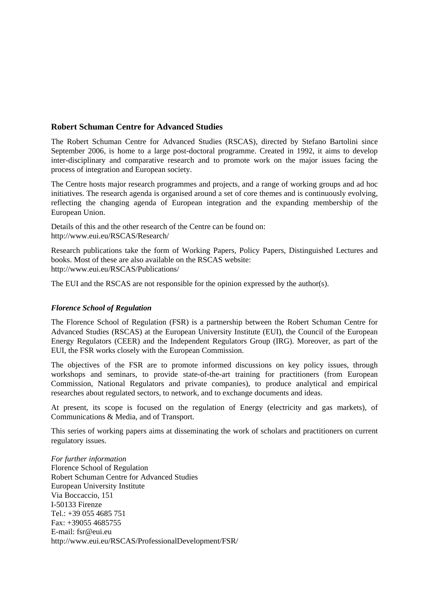# **Robert Schuman Centre for Advanced Studies**

The Robert Schuman Centre for Advanced Studies (RSCAS), directed by Stefano Bartolini since September 2006, is home to a large post-doctoral programme. Created in 1992, it aims to develop inter-disciplinary and comparative research and to promote work on the major issues facing the process of integration and European society.

The Centre hosts major research programmes and projects, and a range of working groups and ad hoc initiatives. The research agenda is organised around a set of core themes and is continuously evolving, reflecting the changing agenda of European integration and the expanding membership of the European Union.

Details of this and the other research of the Centre can be found on: <http://www.eui.eu/RSCAS/Research/>

Research publications take the form of Working Papers, Policy Papers, Distinguished Lectures and books. Most of these are also available on the RSCAS website: <http://www.eui.eu/RSCAS/Publications/>

The EUI and the RSCAS are not responsible for the opinion expressed by the author(s).

### *Florence School of Regulation*

The Florence School of Regulation (FSR) is a partnership between the Robert Schuman Centre for Advanced Studies (RSCAS) at the European University Institute (EUI), the Council of the European Energy Regulators (CEER) and the Independent Regulators Group (IRG). Moreover, as part of the EUI, the FSR works closely with the European Commission.

The objectives of the FSR are to promote informed discussions on key policy issues, through workshops and seminars, to provide state-of-the-art training for practitioners (from European Commission, National Regulators and private companies), to produce analytical and empirical researches about regulated sectors, to network, and to exchange documents and ideas.

At present, its scope is focused on the regulation of Energy (electricity and gas markets), of Communications & Media, and of Transport.

This series of working papers aims at disseminating the work of scholars and practitioners on current regulatory issues.

*For further information*  Florence School of Regulation Robert Schuman Centre for Advanced Studies European University Institute Via Boccaccio, 151 I-50133 Firenze Tel.: +39 055 4685 751 Fax: +39055 4685755 E-mail: [fsr@eui.eu](mailto:fsr@eui.eu)  <http://www.eui.eu/RSCAS/ProfessionalDevelopment/FSR/>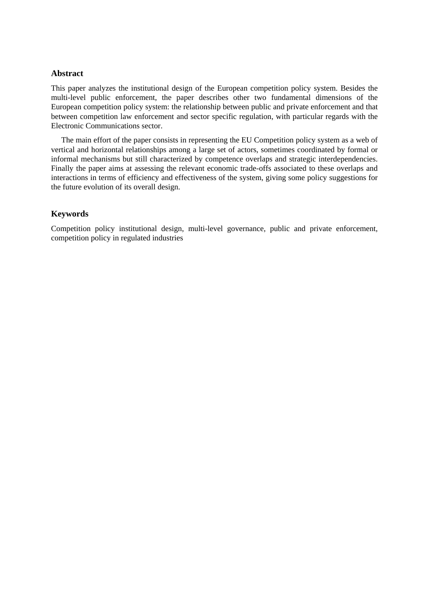#### **Abstract**

This paper analyzes the institutional design of the European competition policy system. Besides the multi-level public enforcement, the paper describes other two fundamental dimensions of the European competition policy system: the relationship between public and private enforcement and that between competition law enforcement and sector specific regulation, with particular regards with the Electronic Communications sector.

The main effort of the paper consists in representing the EU Competition policy system as a web of vertical and horizontal relationships among a large set of actors, sometimes coordinated by formal or informal mechanisms but still characterized by competence overlaps and strategic interdependencies. Finally the paper aims at assessing the relevant economic trade-offs associated to these overlaps and interactions in terms of efficiency and effectiveness of the system, giving some policy suggestions for the future evolution of its overall design.

#### **Keywords**

Competition policy institutional design, multi-level governance, public and private enforcement, competition policy in regulated industries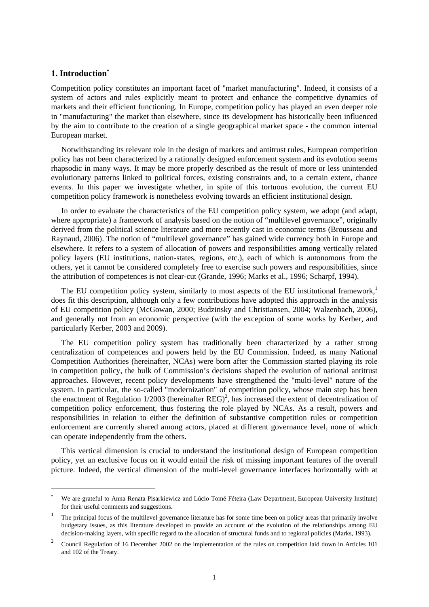#### **1. Introduction\***

1

Competition policy constitutes an important facet of "market manufacturing". Indeed, it consists of a system of actors and rules explicitly meant to protect and enhance the competitive dynamics of markets and their efficient functioning. In Europe, competition policy has played an even deeper role in "manufacturing" the market than elsewhere, since its development has historically been influenced by the aim to contribute to the creation of a single geographical market space - the common internal European market.

Notwithstanding its relevant role in the design of markets and antitrust rules, European competition policy has not been characterized by a rationally designed enforcement system and its evolution seems rhapsodic in many ways. It may be more properly described as the result of more or less unintended evolutionary patterns linked to political forces, existing constraints and, to a certain extent, chance events. In this paper we investigate whether, in spite of this tortuous evolution, the current EU competition policy framework is nonetheless evolving towards an efficient institutional design.

In order to evaluate the characteristics of the EU competition policy system, we adopt (and adapt, where appropriate) a framework of analysis based on the notion of "multilevel governance", originally derived from the political science literature and more recently cast in economic terms (Brousseau and Raynaud, 2006). The notion of "multilevel governance" has gained wide currency both in Europe and elsewhere. It refers to a system of allocation of powers and responsibilities among vertically related policy layers (EU institutions, nation-states, regions, etc.), each of which is autonomous from the others, yet it cannot be considered completely free to exercise such powers and responsibilities, since the attribution of competences is not clear-cut (Grande, 1996; Marks et al., 1996; Scharpf, 1994).

The EU competition policy system, similarly to most aspects of the EU institutional framework, $1$ does fit this description, although only a few contributions have adopted this approach in the analysis of EU competition policy (McGowan, 2000; Budzinsky and Christiansen, 2004; Walzenbach, 2006), and generally not from an economic perspective (with the exception of some works by Kerber, and particularly Kerber, 2003 and 2009).

The EU competition policy system has traditionally been characterized by a rather strong centralization of competences and powers held by the EU Commission. Indeed, as many National Competition Authorities (hereinafter, NCAs) were born after the Commission started playing its role in competition policy, the bulk of Commission's decisions shaped the evolution of national antitrust approaches. However, recent policy developments have strengthened the "multi-level" nature of the system. In particular, the so-called "modernization" of competition policy, whose main step has been the enactment of Regulation  $1/2003$  (hereinafter REG)<sup>2</sup>, has increased the extent of decentralization of competition policy enforcement, thus fostering the role played by NCAs. As a result, powers and responsibilities in relation to either the definition of substantive competition rules or competition enforcement are currently shared among actors, placed at different governance level, none of which can operate independently from the others.

This vertical dimension is crucial to understand the institutional design of European competition policy, yet an exclusive focus on it would entail the risk of missing important features of the overall picture. Indeed, the vertical dimension of the multi-level governance interfaces horizontally with at

<sup>\*</sup> We are grateful to Anna Renata Pisarkiewicz and Lúcio Tomé Féteira (Law Department, European University Institute) for their useful comments and suggestions.

<sup>1</sup> The principal focus of the multilevel governance literature has for some time been on policy areas that primarily involve budgetary issues, as this literature developed to provide an account of the evolution of the relationships among EU decision-making layers, with specific regard to the allocation of structural funds and to regional policies (Marks, 1993).

<sup>2</sup> Council Regulation of 16 December 2002 on the implementation of the rules on competition laid down in Articles 101 and 102 of the Treaty.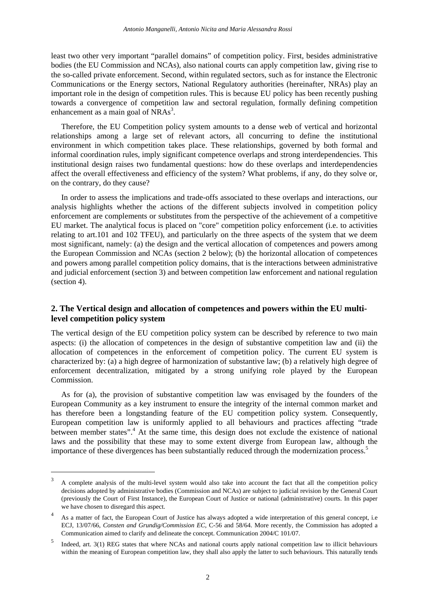least two other very important "parallel domains" of competition policy. First, besides administrative bodies (the EU Commission and NCAs), also national courts can apply competition law, giving rise to the so-called private enforcement. Second, within regulated sectors, such as for instance the Electronic Communications or the Energy sectors, National Regulatory authorities (hereinafter, NRAs) play an important role in the design of competition rules. This is because EU policy has been recently pushing towards a convergence of competition law and sectoral regulation, formally defining competition enhancement as a main goal of  $NRAs<sup>3</sup>$ .

Therefore, the EU Competition policy system amounts to a dense web of vertical and horizontal relationships among a large set of relevant actors, all concurring to define the institutional environment in which competition takes place. These relationships, governed by both formal and informal coordination rules, imply significant competence overlaps and strong interdependencies. This institutional design raises two fundamental questions: how do these overlaps and interdependencies affect the overall effectiveness and efficiency of the system? What problems, if any, do they solve or, on the contrary, do they cause?

In order to assess the implications and trade-offs associated to these overlaps and interactions, our analysis highlights whether the actions of the different subjects involved in competition policy enforcement are complements or substitutes from the perspective of the achievement of a competitive EU market. The analytical focus is placed on "core" competition policy enforcement (i.e. to activities relating to art.101 and 102 TFEU), and particularly on the three aspects of the system that we deem most significant, namely: (a) the design and the vertical allocation of competences and powers among the European Commission and NCAs (section 2 below); (b) the horizontal allocation of competences and powers among parallel competition policy domains, that is the interactions between administrative and judicial enforcement (section 3) and between competition law enforcement and national regulation (section 4).

# **2. The Vertical design and allocation of competences and powers within the EU multilevel competition policy system**

The vertical design of the EU competition policy system can be described by reference to two main aspects: (i) the allocation of competences in the design of substantive competition law and (ii) the allocation of competences in the enforcement of competition policy. The current EU system is characterized by: (a) a high degree of harmonization of substantive law; (b) a relatively high degree of enforcement decentralization, mitigated by a strong unifying role played by the European Commission.

As for (a), the provision of substantive competition law was envisaged by the founders of the European Community as a key instrument to ensure the integrity of the internal common market and has therefore been a longstanding feature of the EU competition policy system. Consequently, European competition law is uniformly applied to all behaviours and practices affecting "trade between member states".<sup>4</sup> At the same time, this design does not exclude the existence of national laws and the possibility that these may to some extent diverge from European law, although the importance of these divergences has been substantially reduced through the modernization process.<sup>5</sup>

1

<sup>3</sup> A complete analysis of the multi-level system would also take into account the fact that all the competition policy decisions adopted by administrative bodies (Commission and NCAs) are subject to judicial revision by the General Court (previously the Court of First Instance), the European Court of Justice or national (administrative) courts. In this paper we have chosen to disregard this aspect.

<sup>4</sup> As a matter of fact, the European Court of Justice has always adopted a wide interpretation of this general concept, i.e ECJ, 13/07/66, *Consten and Grundig/Commission EC*, C-56 and 58/64. More recently, the Commission has adopted a Communication aimed to clarify and delineate the concept. Communication 2004/C 101/07.

<sup>5</sup> Indeed, art. 3(1) REG states that where NCAs and national courts apply national competition law to illicit behaviours within the meaning of European competition law, they shall also apply the latter to such behaviours. This naturally tends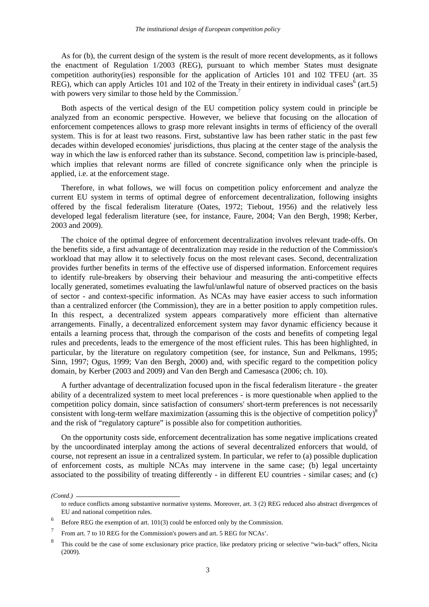As for (b), the current design of the system is the result of more recent developments, as it follows the enactment of Regulation 1/2003 (REG), pursuant to which member States must designate competition authority(ies) responsible for the application of Articles 101 and 102 TFEU (art. 35 REG), which can apply Articles 101 and 102 of the Treaty in their entirety in individual cases<sup>6</sup> (art.5) with powers very similar to those held by the Commission.<sup>7</sup>

Both aspects of the vertical design of the EU competition policy system could in principle be analyzed from an economic perspective. However, we believe that focusing on the allocation of enforcement competences allows to grasp more relevant insights in terms of efficiency of the overall system. This is for at least two reasons. First, substantive law has been rather static in the past few decades within developed economies' jurisdictions, thus placing at the center stage of the analysis the way in which the law is enforced rather than its substance. Second, competition law is principle-based, which implies that relevant norms are filled of concrete significance only when the principle is applied, i.e. at the enforcement stage.

Therefore, in what follows, we will focus on competition policy enforcement and analyze the current EU system in terms of optimal degree of enforcement decentralization, following insights offered by the fiscal federalism literature (Oates, 1972; Tiebout, 1956) and the relatively less developed legal federalism literature (see, for instance, Faure, 2004; Van den Bergh, 1998; Kerber, 2003 and 2009).

The choice of the optimal degree of enforcement decentralization involves relevant trade-offs. On the benefits side, a first advantage of decentralization may reside in the reduction of the Commission's workload that may allow it to selectively focus on the most relevant cases. Second, decentralization provides further benefits in terms of the effective use of dispersed information. Enforcement requires to identify rule-breakers by observing their behaviour and measuring the anti-competitive effects locally generated, sometimes evaluating the lawful/unlawful nature of observed practices on the basis of sector - and context-specific information. As NCAs may have easier access to such information than a centralized enforcer (the Commission), they are in a better position to apply competition rules. In this respect, a decentralized system appears comparatively more efficient than alternative arrangements. Finally, a decentralized enforcement system may favor dynamic efficiency because it entails a learning process that, through the comparison of the costs and benefits of competing legal rules and precedents, leads to the emergence of the most efficient rules. This has been highlighted, in particular, by the literature on regulatory competition (see, for instance, Sun and Pelkmans, 1995; Sinn, 1997; Ogus, 1999; Van den Bergh, 2000) and, with specific regard to the competition policy domain, by Kerber (2003 and 2009) and Van den Bergh and Camesasca (2006; ch. 10).

A further advantage of decentralization focused upon in the fiscal federalism literature - the greater ability of a decentralized system to meet local preferences - is more questionable when applied to the competition policy domain, since satisfaction of consumers' short-term preferences is not necessarily consistent with long-term welfare maximization (assuming this is the objective of competition policy)<sup>8</sup> and the risk of "regulatory capture" is possible also for competition authorities.

On the opportunity costs side, enforcement decentralization has some negative implications created by the uncoordinated interplay among the actions of several decentralized enforcers that would, of course, not represent an issue in a centralized system. In particular, we refer to (a) possible duplication of enforcement costs, as multiple NCAs may intervene in the same case; (b) legal uncertainty associated to the possibility of treating differently - in different EU countries - similar cases; and (c)

*(Contd.)* 

to reduce conflicts among substantive normative systems. Moreover, art. 3 (2) REG reduced also abstract divergences of EU and national competition rules.

<sup>6</sup> Before REG the exemption of art. 101(3) could be enforced only by the Commission.

<sup>7</sup> From art. 7 to 10 REG for the Commission's powers and art. 5 REG for NCAs'.

<sup>8</sup> This could be the case of some exclusionary price practice, like predatory pricing or selective "win-back" offers, Nicita (2009).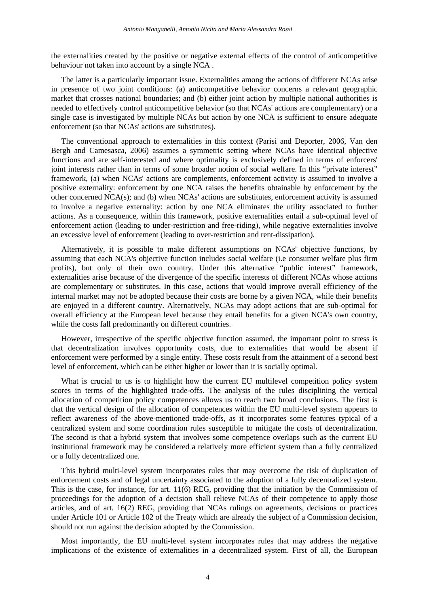the externalities created by the positive or negative external effects of the control of anticompetitive behaviour not taken into account by a single NCA .

The latter is a particularly important issue. Externalities among the actions of different NCAs arise in presence of two joint conditions: (a) anticompetitive behavior concerns a relevant geographic market that crosses national boundaries; and (b) either joint action by multiple national authorities is needed to effectively control anticompetitive behavior (so that NCAs' actions are complementary) or a single case is investigated by multiple NCAs but action by one NCA is sufficient to ensure adequate enforcement (so that NCAs' actions are substitutes).

The conventional approach to externalities in this context (Parisi and Deporter, 2006, Van den Bergh and Camesasca, 2006) assumes a symmetric setting where NCAs have identical objective functions and are self-interested and where optimality is exclusively defined in terms of enforcers' joint interests rather than in terms of some broader notion of social welfare. In this "private interest" framework, (a) when NCAs' actions are complements, enforcement activity is assumed to involve a positive externality: enforcement by one NCA raises the benefits obtainable by enforcement by the other concerned NCA(s); and (b) when NCAs' actions are substitutes, enforcement activity is assumed to involve a negative externality: action by one NCA eliminates the utility associated to further actions. As a consequence, within this framework, positive externalities entail a sub-optimal level of enforcement action (leading to under-restriction and free-riding), while negative externalities involve an excessive level of enforcement (leading to over-restriction and rent-dissipation).

Alternatively, it is possible to make different assumptions on NCAs' objective functions, by assuming that each NCA's objective function includes social welfare (i.e consumer welfare plus firm profits), but only of their own country. Under this alternative "public interest" framework, externalities arise because of the divergence of the specific interests of different NCAs whose actions are complementary or substitutes. In this case, actions that would improve overall efficiency of the internal market may not be adopted because their costs are borne by a given NCA, while their benefits are enjoyed in a different country. Alternatively, NCAs may adopt actions that are sub-optimal for overall efficiency at the European level because they entail benefits for a given NCA's own country, while the costs fall predominantly on different countries.

However, irrespective of the specific objective function assumed, the important point to stress is that decentralization involves opportunity costs, due to externalities that would be absent if enforcement were performed by a single entity. These costs result from the attainment of a second best level of enforcement, which can be either higher or lower than it is socially optimal.

What is crucial to us is to highlight how the current EU multilevel competition policy system scores in terms of the highlighted trade-offs. The analysis of the rules disciplining the vertical allocation of competition policy competences allows us to reach two broad conclusions. The first is that the vertical design of the allocation of competences within the EU multi-level system appears to reflect awareness of the above-mentioned trade-offs, as it incorporates some features typical of a centralized system and some coordination rules susceptible to mitigate the costs of decentralization. The second is that a hybrid system that involves some competence overlaps such as the current EU institutional framework may be considered a relatively more efficient system than a fully centralized or a fully decentralized one.

This hybrid multi-level system incorporates rules that may overcome the risk of duplication of enforcement costs and of legal uncertainty associated to the adoption of a fully decentralized system. This is the case, for instance, for art. 11(6) REG, providing that the initiation by the Commission of proceedings for the adoption of a decision shall relieve NCAs of their competence to apply those articles, and of art. 16(2) REG, providing that NCAs rulings on agreements, decisions or practices under Article 101 or Article 102 of the Treaty which are already the subject of a Commission decision, should not run against the decision adopted by the Commission.

Most importantly, the EU multi-level system incorporates rules that may address the negative implications of the existence of externalities in a decentralized system. First of all, the European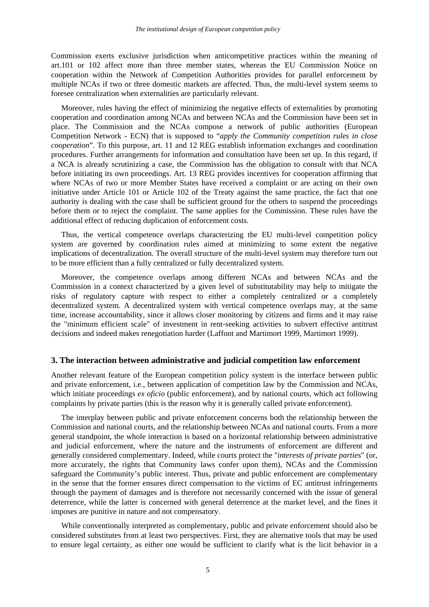Commission exerts exclusive jurisdiction when anticompetitive practices within the meaning of art.101 or 102 affect more than three member states, whereas the EU Commission Notice on cooperation within the Network of Competition Authorities provides for parallel enforcement by multiple NCAs if two or three domestic markets are affected. Thus, the multi-level system seems to foresee centralization when externalities are particularly relevant.

Moreover, rules having the effect of minimizing the negative effects of externalities by promoting cooperation and coordination among NCAs and between NCAs and the Commission have been set in place. The Commission and the NCAs compose a network of public authorities (European Competition Network - ECN) that is supposed to "*apply the Community competition rules in close cooperation*". To this purpose, art. 11 and 12 REG establish information exchanges and coordination procedures. Further arrangements for information and consultation have been set up. In this regard, if a NCA is already scrutinizing a case, the Commission has the obligation to consult with that NCA before initiating its own proceedings. Art. 13 REG provides incentives for cooperation affirming that where NCAs of two or more Member States have received a complaint or are acting on their own initiative under Article 101 or Article 102 of the Treaty against the same practice, the fact that one authority is dealing with the case shall be sufficient ground for the others to suspend the proceedings before them or to reject the complaint. The same applies for the Commission. These rules have the additional effect of reducing duplication of enforcement costs.

Thus, the vertical competence overlaps characterizing the EU multi-level competition policy system are governed by coordination rules aimed at minimizing to some extent the negative implications of decentralization. The overall structure of the multi-level system may therefore turn out to be more efficient than a fully centralized or fully decentralized system.

Moreover, the competence overlaps among different NCAs and between NCAs and the Commission in a context characterized by a given level of substitutability may help to mitigate the risks of regulatory capture with respect to either a completely centralized or a completely decentralized system. A decentralized system with vertical competence overlaps may, at the same time, increase accountability, since it allows closer monitoring by citizens and firms and it may raise the "minimum efficient scale" of investment in rent-seeking activities to subvert effective antitrust decisions and indeed makes renegotiation harder (Laffont and Martimort 1999, Martimort 1999).

#### **3. The interaction between administrative and judicial competition law enforcement**

Another relevant feature of the European competition policy system is the interface between public and private enforcement, i.e., between application of competition law by the Commission and NCAs, which initiate proceedings *ex oficio* (public enforcement), and by national courts, which act following complaints by private parties (this is the reason why it is generally called private enforcement).

The interplay between public and private enforcement concerns both the relationship between the Commission and national courts, and the relationship between NCAs and national courts. From a more general standpoint, the whole interaction is based on a horizontal relationship between administrative and judicial enforcement, where the nature and the instruments of enforcement are different and generally considered complementary. Indeed, while courts protect the "*interests of private parties*" (or, more accurately, the rights that Community laws confer upon them), NCAs and the Commission safeguard the Community's public interest. Thus, private and public enforcement are complementary in the sense that the former ensures direct compensation to the victims of EC antitrust infringements through the payment of damages and is therefore not necessarily concerned with the issue of general deterrence, while the latter is concerned with general deterrence at the market level, and the fines it imposes are punitive in nature and not compensatory.

While conventionally interpreted as complementary, public and private enforcement should also be considered substitutes from at least two perspectives. First, they are alternative tools that may be used to ensure legal certainty, as either one would be sufficient to clarify what is the licit behavior in a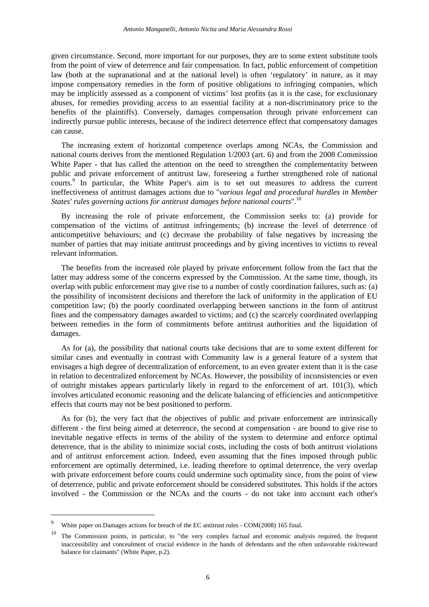given circumstance. Second, more important for our purposes, they are to some extent substitute tools from the point of view of deterrence and fair compensation. In fact, public enforcement of competition law (both at the supranational and at the national level) is often 'regulatory' in nature, as it may impose compensatory remedies in the form of positive obligations to infringing companies, which may be implicitly assessed as a component of victims' lost profits (as it is the case, for exclusionary abuses, for remedies providing access to an essential facility at a non-discriminatory price to the benefits of the plaintiffs). Conversely, damages compensation through private enforcement can indirectly pursue public interests, because of the indirect deterrence effect that compensatory damages can cause.

The increasing extent of horizontal competence overlaps among NCAs, the Commission and national courts derives from the mentioned Regulation 1/2003 (art. 6) and from the 2008 Commission White Paper - that has called the attention on the need to strengthen the complementarity between public and private enforcement of antitrust law, foreseeing a further strengthened role of national courts.<sup>9</sup> In particular, the White Paper's aim is to set out measures to address the current ineffectiveness of antitrust damages actions due to "*various legal and procedural hurdles in Member States' rules governing actions for antitrust damages before national courts*".10

By increasing the role of private enforcement, the Commission seeks to: (a) provide for compensation of the victims of antitrust infringements; (b) increase the level of deterrence of anticompetitive behaviours; and (c) decrease the probability of false negatives by increasing the number of parties that may initiate antitrust proceedings and by giving incentives to victims to reveal relevant information.

The benefits from the increased role played by private enforcement follow from the fact that the latter may address some of the concerns expressed by the Commission. At the same time, though, its overlap with public enforcement may give rise to a number of costly coordination failures, such as: (a) the possibility of inconsistent decisions and therefore the lack of uniformity in the application of EU competition law; (b) the poorly coordinated overlapping between sanctions in the form of antitrust fines and the compensatory damages awarded to victims; and (c) the scarcely coordinated overlapping between remedies in the form of commitments before antitrust authorities and the liquidation of damages.

As for (a), the possibility that national courts take decisions that are to some extent different for similar cases and eventually in contrast with Community law is a general feature of a system that envisages a high degree of decentralization of enforcement, to an even greater extent than it is the case in relation to decentralized enforcement by NCAs. However, the possibility of inconsistencies or even of outright mistakes appears particularly likely in regard to the enforcement of art. 101(3), which involves articulated economic reasoning and the delicate balancing of efficiencies and anticompetitive effects that courts may not be best positioned to perform.

As for (b), the very fact that the objectives of public and private enforcement are intrinsically different - the first being aimed at deterrence, the second at compensation - are bound to give rise to inevitable negative effects in terms of the ability of the system to determine and enforce optimal deterrence, that is the ability to minimize social costs, including the costs of both antitrust violations and of antitrust enforcement action. Indeed, even assuming that the fines imposed through public enforcement are optimally determined, i.e. leading therefore to optimal deterrence, the very overlap with private enforcement before courts could undermine such optimality since, from the point of view of deterrence, public and private enforcement should be considered substitutes. This holds if the actors involved - the Commission or the NCAs and the courts - do not take into account each other's

-

<sup>9</sup> White paper on Damages actions for breach of the EC antitrust rules - COM(2008) 165 final.

<sup>&</sup>lt;sup>10</sup> The Commission points, in particular, to "the very complex factual and economic analysis required, the frequent inaccessibility and concealment of crucial evidence in the hands of defendants and the often unfavorable risk/reward balance for claimants" (White Paper, p.2).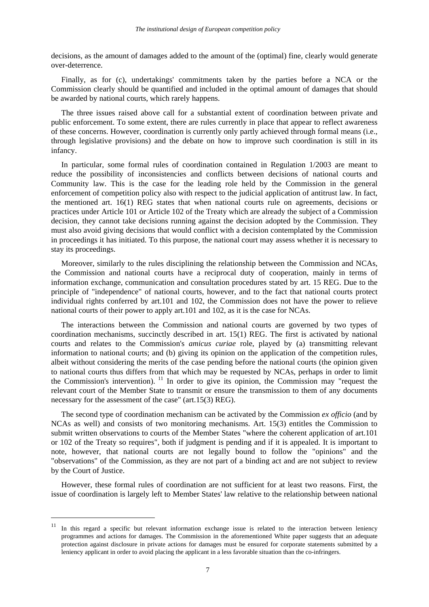decisions, as the amount of damages added to the amount of the (optimal) fine, clearly would generate over-deterrence.

Finally, as for (c), undertakings' commitments taken by the parties before a NCA or the Commission clearly should be quantified and included in the optimal amount of damages that should be awarded by national courts, which rarely happens.

The three issues raised above call for a substantial extent of coordination between private and public enforcement. To some extent, there are rules currently in place that appear to reflect awareness of these concerns. However, coordination is currently only partly achieved through formal means (i.e., through legislative provisions) and the debate on how to improve such coordination is still in its infancy.

In particular, some formal rules of coordination contained in Regulation 1/2003 are meant to reduce the possibility of inconsistencies and conflicts between decisions of national courts and Community law. This is the case for the leading role held by the Commission in the general enforcement of competition policy also with respect to the judicial application of antitrust law. In fact, the mentioned art. 16(1) REG states that when national courts rule on agreements, decisions or practices under Article 101 or Article 102 of the Treaty which are already the subject of a Commission decision, they cannot take decisions running against the decision adopted by the Commission. They must also avoid giving decisions that would conflict with a decision contemplated by the Commission in proceedings it has initiated. To this purpose, the national court may assess whether it is necessary to stay its proceedings.

Moreover, similarly to the rules disciplining the relationship between the Commission and NCAs, the Commission and national courts have a reciprocal duty of cooperation, mainly in terms of information exchange, communication and consultation procedures stated by art. 15 REG. Due to the principle of "independence" of national courts, however, and to the fact that national courts protect individual rights conferred by art.101 and 102, the Commission does not have the power to relieve national courts of their power to apply art.101 and 102, as it is the case for NCAs.

The interactions between the Commission and national courts are governed by two types of coordination mechanisms, succinctly described in art. 15(1) REG. The first is activated by national courts and relates to the Commission's *amicus curiae* role, played by (a) transmitting relevant information to national courts; and (b) giving its opinion on the application of the competition rules, albeit without considering the merits of the case pending before the national courts (the opinion given to national courts thus differs from that which may be requested by NCAs, perhaps in order to limit the Commission's intervention).  $^{11}$  In order to give its opinion, the Commission may "request the relevant court of the Member State to transmit or ensure the transmission to them of any documents necessary for the assessment of the case" (art.15(3) REG).

The second type of coordination mechanism can be activated by the Commission *ex officio* (and by NCAs as well) and consists of two monitoring mechanisms. Art. 15(3) entitles the Commission to submit written observations to courts of the Member States "where the coherent application of art.101 or 102 of the Treaty so requires", both if judgment is pending and if it is appealed. It is important to note, however, that national courts are not legally bound to follow the "opinions" and the "observations" of the Commission, as they are not part of a binding act and are not subject to review by the Court of Justice.

However, these formal rules of coordination are not sufficient for at least two reasons. First, the issue of coordination is largely left to Member States' law relative to the relationship between national

1

 $11$  In this regard a specific but relevant information exchange issue is related to the interaction between leniency programmes and actions for damages. The Commission in the aforementioned White paper suggests that an adequate protection against disclosure in private actions for damages must be ensured for corporate statements submitted by a leniency applicant in order to avoid placing the applicant in a less favorable situation than the co-infringers.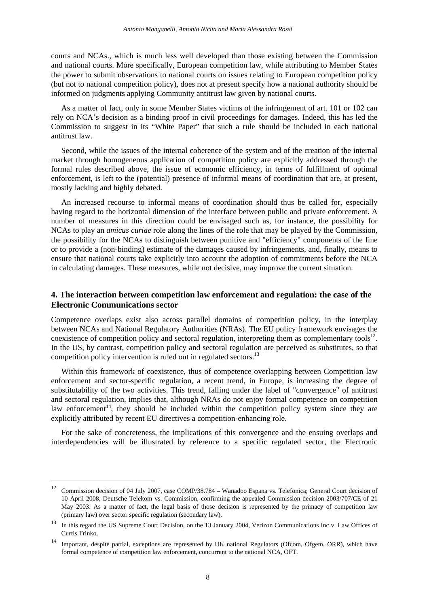courts and NCAs., which is much less well developed than those existing between the Commission and national courts. More specifically, European competition law, while attributing to Member States the power to submit observations to national courts on issues relating to European competition policy (but not to national competition policy), does not at present specify how a national authority should be informed on judgments applying Community antitrust law given by national courts.

As a matter of fact, only in some Member States victims of the infringement of art. 101 or 102 can rely on NCA's decision as a binding proof in civil proceedings for damages. Indeed, this has led the Commission to suggest in its "White Paper" that such a rule should be included in each national antitrust law.

Second, while the issues of the internal coherence of the system and of the creation of the internal market through homogeneous application of competition policy are explicitly addressed through the formal rules described above, the issue of economic efficiency, in terms of fulfillment of optimal enforcement, is left to the (potential) presence of informal means of coordination that are, at present, mostly lacking and highly debated.

An increased recourse to informal means of coordination should thus be called for, especially having regard to the horizontal dimension of the interface between public and private enforcement. A number of measures in this direction could be envisaged such as, for instance, the possibility for NCAs to play an *amicus curiae* role along the lines of the role that may be played by the Commission, the possibility for the NCAs to distinguish between punitive and "efficiency" components of the fine or to provide a (non-binding) estimate of the damages caused by infringements, and, finally, means to ensure that national courts take explicitly into account the adoption of commitments before the NCA in calculating damages. These measures, while not decisive, may improve the current situation.

# **4. The interaction between competition law enforcement and regulation: the case of the Electronic Communications sector**

Competence overlaps exist also across parallel domains of competition policy, in the interplay between NCAs and National Regulatory Authorities (NRAs). The EU policy framework envisages the coexistence of competition policy and sectoral regulation, interpreting them as complementary tools<sup>12</sup>. In the US, by contrast, competition policy and sectoral regulation are perceived as substitutes, so that competition policy intervention is ruled out in regulated sectors.<sup>13</sup>

Within this framework of coexistence, thus of competence overlapping between Competition law enforcement and sector-specific regulation, a recent trend, in Europe, is increasing the degree of substitutability of the two activities. This trend, falling under the label of "convergence" of antitrust and sectoral regulation, implies that, although NRAs do not enjoy formal competence on competition law enforcement<sup>14</sup>, they should be included within the competition policy system since they are explicitly attributed by recent EU directives a competition-enhancing role.

For the sake of concreteness, the implications of this convergence and the ensuing overlaps and interdependencies will be illustrated by reference to a specific regulated sector, the Electronic

-

<sup>&</sup>lt;sup>12</sup> Commission decision of 04 July 2007, case COMP/38.784 – Wanadoo Espana vs. Telefonica; General Court decision of 10 April 2008, Deutsche Telekom vs. Commission, confirming the appealed Commission decision 2003/707/CE of 21 May 2003. As a matter of fact, the legal basis of those decision is represented by the primacy of competition law (primary law) over sector specific regulation (secondary law).

<sup>&</sup>lt;sup>13</sup> In this regard the US Supreme Court Decision, on the 13 January 2004, Verizon Communications Inc v. Law Offices of Curtis Trinko.

<sup>&</sup>lt;sup>14</sup> Important, despite partial, exceptions are represented by UK national Regulators (Ofcom, Ofgem, ORR), which have formal competence of competition law enforcement, concurrent to the national NCA, OFT.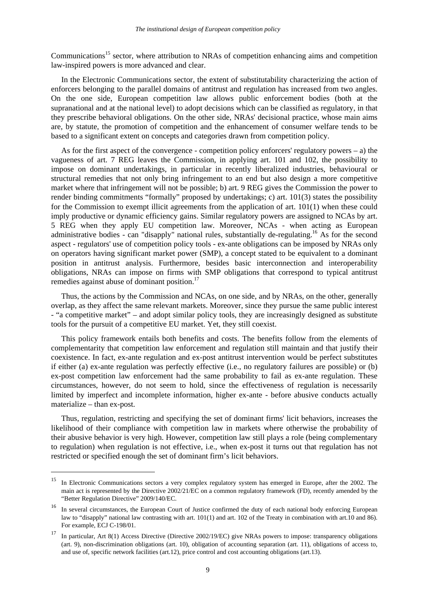Communications<sup>15</sup> sector, where attribution to NRAs of competition enhancing aims and competition law-inspired powers is more advanced and clear.

In the Electronic Communications sector, the extent of substitutability characterizing the action of enforcers belonging to the parallel domains of antitrust and regulation has increased from two angles. On the one side, European competition law allows public enforcement bodies (both at the supranational and at the national level) to adopt decisions which can be classified as regulatory, in that they prescribe behavioral obligations. On the other side, NRAs' decisional practice, whose main aims are, by statute, the promotion of competition and the enhancement of consumer welfare tends to be based to a significant extent on concepts and categories drawn from competition policy.

As for the first aspect of the convergence - competition policy enforcers' regulatory powers – a) the vagueness of art. 7 REG leaves the Commission, in applying art. 101 and 102, the possibility to impose on dominant undertakings, in particular in recently liberalized industries, behavioural or structural remedies that not only bring infringement to an end but also design a more competitive market where that infringement will not be possible; b) art. 9 REG gives the Commission the power to render binding commitments "formally" proposed by undertakings; c) art. 101(3) states the possibility for the Commission to exempt illicit agreements from the application of art. 101(1) when these could imply productive or dynamic efficiency gains. Similar regulatory powers are assigned to NCAs by art. 5 REG when they apply EU competition law. Moreover, NCAs - when acting as European administrative bodies - can "disapply" national rules, substantially de-regulating.<sup>16</sup> As for the second aspect - regulators' use of competition policy tools - ex-ante obligations can be imposed by NRAs only on operators having significant market power (SMP), a concept stated to be equivalent to a dominant position in antitrust analysis. Furthermore, besides basic interconnection and interoperability obligations, NRAs can impose on firms with SMP obligations that correspond to typical antitrust remedies against abuse of dominant position. $17$ 

Thus, the actions by the Commission and NCAs, on one side, and by NRAs, on the other, generally overlap, as they affect the same relevant markets. Moreover, since they pursue the same public interest - "a competitive market" – and adopt similar policy tools, they are increasingly designed as substitute tools for the pursuit of a competitive EU market. Yet, they still coexist.

This policy framework entails both benefits and costs. The benefits follow from the elements of complementarity that competition law enforcement and regulation still maintain and that justify their coexistence. In fact, ex-ante regulation and ex-post antitrust intervention would be perfect substitutes if either (a) ex-ante regulation was perfectly effective (i.e., no regulatory failures are possible) or (b) ex-post competition law enforcement had the same probability to fail as ex-ante regulation. These circumstances, however, do not seem to hold, since the effectiveness of regulation is necessarily limited by imperfect and incomplete information, higher ex-ante - before abusive conducts actually materialize – than ex-post.

Thus, regulation, restricting and specifying the set of dominant firms' licit behaviors, increases the likelihood of their compliance with competition law in markets where otherwise the probability of their abusive behavior is very high. However, competition law still plays a role (being complementary to regulation) when regulation is not effective, i.e., when ex-post it turns out that regulation has not restricted or specified enough the set of dominant firm's licit behaviors.

1

<sup>&</sup>lt;sup>15</sup> In Electronic Communications sectors a very complex regulatory system has emerged in Europe, after the 2002. The main act is represented by the Directive 2002/21/EC on a common regulatory framework (FD), recently amended by the "Better Regulation Directive" 2009/140/EC.

<sup>&</sup>lt;sup>16</sup> In several circumstances, the European Court of Justice confirmed the duty of each national body enforcing European law to "disapply" national law contrasting with art. 101(1) and art. 102 of the Treaty in combination with art.10 and 86). For example, ECJ C-198/01.

 $17$  In particular, Art 8(1) Access Directive (Directive 2002/19/EC) give NRAs powers to impose: transparency obligations (art. 9), non-discrimination obligations (art. 10), obligation of accounting separation (art. 11), obligations of access to, and use of, specific network facilities (art.12), price control and cost accounting obligations (art.13).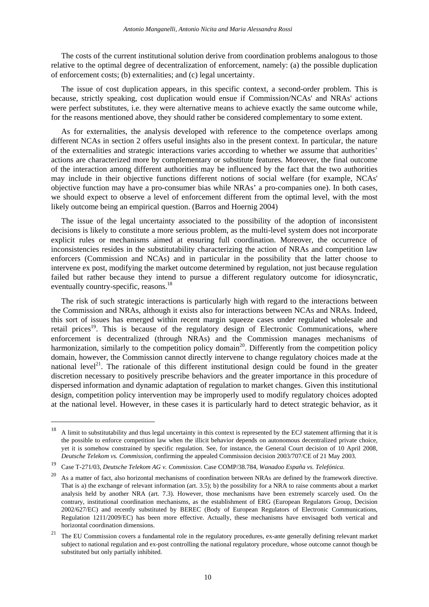The costs of the current institutional solution derive from coordination problems analogous to those relative to the optimal degree of decentralization of enforcement, namely: (a) the possible duplication of enforcement costs; (b) externalities; and (c) legal uncertainty.

The issue of cost duplication appears, in this specific context, a second-order problem. This is because, strictly speaking, cost duplication would ensue if Commission/NCAs' and NRAs' actions were perfect substitutes, i.e. they were alternative means to achieve exactly the same outcome while, for the reasons mentioned above, they should rather be considered complementary to some extent.

As for externalities, the analysis developed with reference to the competence overlaps among different NCAs in section 2 offers useful insights also in the present context. In particular, the nature of the externalities and strategic interactions varies according to whether we assume that authorities' actions are characterized more by complementary or substitute features. Moreover, the final outcome of the interaction among different authorities may be influenced by the fact that the two authorities may include in their objective functions different notions of social welfare (for example, NCAs' objective function may have a pro-consumer bias while NRAs' a pro-companies one). In both cases, we should expect to observe a level of enforcement different from the optimal level, with the most likely outcome being an empirical question. (Barros and Hoernig 2004)

The issue of the legal uncertainty associated to the possibility of the adoption of inconsistent decisions is likely to constitute a more serious problem, as the multi-level system does not incorporate explicit rules or mechanisms aimed at ensuring full coordination. Moreover, the occurrence of inconsistencies resides in the substitutability characterizing the action of NRAs and competition law enforcers (Commission and NCAs) and in particular in the possibility that the latter choose to intervene ex post, modifying the market outcome determined by regulation, not just because regulation failed but rather because they intend to pursue a different regulatory outcome for idiosyncratic, eventually country-specific, reasons.<sup>18</sup>

The risk of such strategic interactions is particularly high with regard to the interactions between the Commission and NRAs, although it exists also for interactions between NCAs and NRAs. Indeed, this sort of issues has emerged within recent margin squeeze cases under regulated wholesale and retail prices<sup>19</sup>. This is because of the regulatory design of Electronic Communications, where enforcement is decentralized (through NRAs) and the Commission manages mechanisms of harmonization, similarly to the competition policy domain<sup>20</sup>. Differently from the competition policy domain, however, the Commission cannot directly intervene to change regulatory choices made at the national level<sup>21</sup>. The rationale of this different institutional design could be found in the greater discretion necessary to positively prescribe behaviors and the greater importance in this procedure of dispersed information and dynamic adaptation of regulation to market changes. Given this institutional design, competition policy intervention may be improperly used to modify regulatory choices adopted at the national level. However, in these cases it is particularly hard to detect strategic behavior, as it

-

 $18$  A limit to substitutability and thus legal uncertainty in this context is represented by the ECJ statement affirming that it is the possible to enforce competition law when the illicit behavior depends on autonomous decentralized private choice, yet it is somehow constrained by specific regulation. See, for instance, the General Court decision of 10 April 2008, *Deutsche Telekom vs. Commission*, confirming the appealed Commission decision 2003/707/CE of 21 May 2003.

<sup>19</sup> Case T-271/03, *Deutsche Telekom AG v. Commission*. Case COMP/38.784, *Wanadoo España vs. Telefónica*.

As a matter of fact, also horizontal mechanisms of coordination between NRAs are defined by the framework directive. That is a) the exchange of relevant information (art. 3.5); b) the possibility for a NRA to raise comments about a market analysis held by another NRA (art. 7.3). However, those mechanisms have been extremely scarcely used. On the contrary, institutional coordination mechanisms, as the establishment of ERG (European Regulators Group, Decision 2002/627/EC) and recently substituted by BEREC (Body of European Regulators of Electronic Communications, Regulation 1211/2009/EC) has been more effective. Actually, these mechanisms have envisaged both vertical and horizontal coordination dimensions.

<sup>21</sup> The EU Commission covers a fundamental role in the regulatory procedures, ex-ante generally defining relevant market subject to national regulation and ex-post controlling the national regulatory procedure, whose outcome cannot though be substituted but only partially inhibited.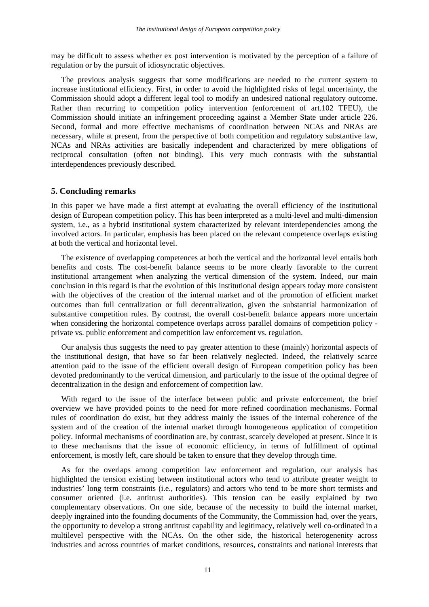may be difficult to assess whether ex post intervention is motivated by the perception of a failure of regulation or by the pursuit of idiosyncratic objectives.

The previous analysis suggests that some modifications are needed to the current system to increase institutional efficiency. First, in order to avoid the highlighted risks of legal uncertainty, the Commission should adopt a different legal tool to modify an undesired national regulatory outcome. Rather than recurring to competition policy intervention (enforcement of art.102 TFEU), the Commission should initiate an infringement proceeding against a Member State under article 226. Second, formal and more effective mechanisms of coordination between NCAs and NRAs are necessary, while at present, from the perspective of both competition and regulatory substantive law, NCAs and NRAs activities are basically independent and characterized by mere obligations of reciprocal consultation (often not binding). This very much contrasts with the substantial interdependences previously described.

#### **5. Concluding remarks**

In this paper we have made a first attempt at evaluating the overall efficiency of the institutional design of European competition policy. This has been interpreted as a multi-level and multi-dimension system, i.e., as a hybrid institutional system characterized by relevant interdependencies among the involved actors. In particular, emphasis has been placed on the relevant competence overlaps existing at both the vertical and horizontal level.

The existence of overlapping competences at both the vertical and the horizontal level entails both benefits and costs. The cost-benefit balance seems to be more clearly favorable to the current institutional arrangement when analyzing the vertical dimension of the system. Indeed, our main conclusion in this regard is that the evolution of this institutional design appears today more consistent with the objectives of the creation of the internal market and of the promotion of efficient market outcomes than full centralization or full decentralization, given the substantial harmonization of substantive competition rules. By contrast, the overall cost-benefit balance appears more uncertain when considering the horizontal competence overlaps across parallel domains of competition policy private vs. public enforcement and competition law enforcement vs. regulation.

Our analysis thus suggests the need to pay greater attention to these (mainly) horizontal aspects of the institutional design, that have so far been relatively neglected. Indeed, the relatively scarce attention paid to the issue of the efficient overall design of European competition policy has been devoted predominantly to the vertical dimension, and particularly to the issue of the optimal degree of decentralization in the design and enforcement of competition law.

With regard to the issue of the interface between public and private enforcement, the brief overview we have provided points to the need for more refined coordination mechanisms. Formal rules of coordination do exist, but they address mainly the issues of the internal coherence of the system and of the creation of the internal market through homogeneous application of competition policy. Informal mechanisms of coordination are, by contrast, scarcely developed at present. Since it is to these mechanisms that the issue of economic efficiency, in terms of fulfillment of optimal enforcement, is mostly left, care should be taken to ensure that they develop through time.

As for the overlaps among competition law enforcement and regulation, our analysis has highlighted the tension existing between institutional actors who tend to attribute greater weight to industries' long term constraints (i.e., regulators) and actors who tend to be more short termists and consumer oriented (i.e. antitrust authorities). This tension can be easily explained by two complementary observations. On one side, because of the necessity to build the internal market, deeply ingrained into the founding documents of the Community, the Commission had, over the years, the opportunity to develop a strong antitrust capability and legitimacy, relatively well co-ordinated in a multilevel perspective with the NCAs. On the other side, the historical heterogenenity across industries and across countries of market conditions, resources, constraints and national interests that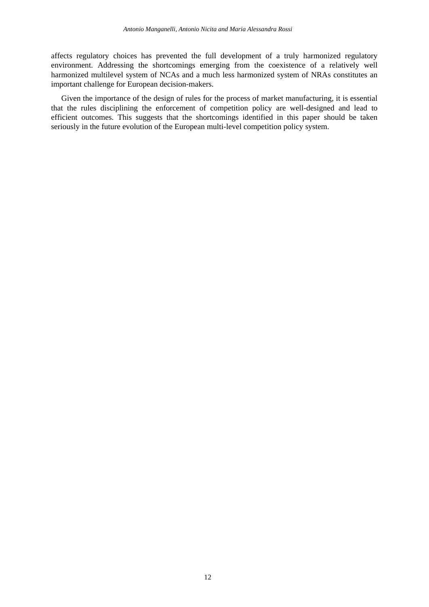affects regulatory choices has prevented the full development of a truly harmonized regulatory environment. Addressing the shortcomings emerging from the coexistence of a relatively well harmonized multilevel system of NCAs and a much less harmonized system of NRAs constitutes an important challenge for European decision-makers.

Given the importance of the design of rules for the process of market manufacturing, it is essential that the rules disciplining the enforcement of competition policy are well-designed and lead to efficient outcomes. This suggests that the shortcomings identified in this paper should be taken seriously in the future evolution of the European multi-level competition policy system.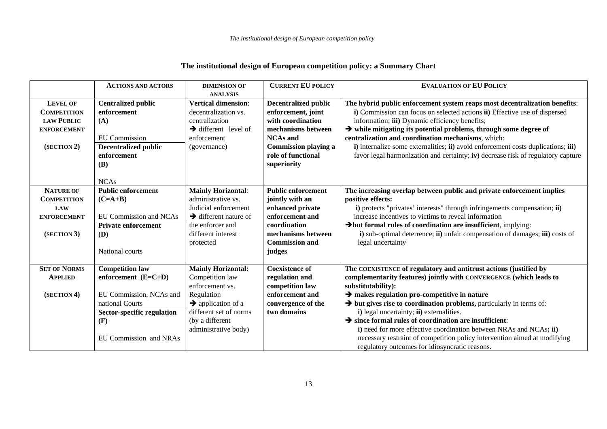*The institutional design of European competition policy* 

# **The institutional design of European competition policy: a Summary Chart**

|                     | <b>ACTIONS AND ACTORS</b>         | <b>DIMENSION OF</b>               | <b>CURRENT EU POLICY</b>    | <b>EVALUATION OF EU POLICY</b>                                                    |
|---------------------|-----------------------------------|-----------------------------------|-----------------------------|-----------------------------------------------------------------------------------|
|                     |                                   | <b>ANALYSIS</b>                   |                             |                                                                                   |
| <b>LEVEL OF</b>     | <b>Centralized public</b>         | <b>Vertical dimension:</b>        | <b>Decentralized public</b> | The hybrid public enforcement system reaps most decentralization benefits:        |
| <b>COMPETITION</b>  | enforcement                       | decentralization vs.              | enforcement, joint          | i) Commission can focus on selected actions ii) Effective use of dispersed        |
| <b>LAW PUBLIC</b>   | (A)                               | centralization                    | with coordination           | information; <i>iii</i> ) Dynamic efficiency benefits;                            |
| <b>ENFORCEMENT</b>  |                                   | $\rightarrow$ different level of  | mechanisms between          | $\rightarrow$ while mitigating its potential problems, through some degree of     |
|                     | <b>EU</b> Commission              | enforcement                       | <b>NCAs and</b>             | centralization and coordination mechanisms, which:                                |
| (SECTION 2)         | <b>Decentralized public</b>       | (governance)                      | <b>Commission playing a</b> | i) internalize some externalities; ii) avoid enforcement costs duplications; iii) |
|                     | enforcement                       |                                   | role of functional          | favor legal harmonization and certainty; iv) decrease risk of regulatory capture  |
|                     | (B)                               |                                   | superiority                 |                                                                                   |
|                     |                                   |                                   |                             |                                                                                   |
|                     | <b>NCAs</b>                       |                                   |                             |                                                                                   |
| <b>NATURE OF</b>    | <b>Public enforcement</b>         | <b>Mainly Horizontal:</b>         | <b>Public enforcement</b>   | The increasing overlap between public and private enforcement implies             |
| <b>COMPETITION</b>  | $(C=A+B)$                         | administrative vs.                | jointly with an             | positive effects:                                                                 |
| <b>LAW</b>          |                                   | Judicial enforcement              | enhanced private            | i) protects "privates' interests" through infringements compensation; ii)         |
| <b>ENFORCEMENT</b>  | EU Commission and NCAs            | $\rightarrow$ different nature of | enforcement and             | increase incentives to victims to reveal information                              |
|                     | <b>Private enforcement</b>        | the enforcer and                  | coordination                | $\rightarrow$ but formal rules of coordination are insufficient, implying:        |
| (SECTION 3)         | (D)                               | different interest                | mechanisms between          | i) sub-optimal deterrence; ii) unfair compensation of damages; iii) costs of      |
|                     |                                   | protected                         | <b>Commission and</b>       | legal uncertainty                                                                 |
|                     | National courts                   |                                   | judges                      |                                                                                   |
|                     |                                   |                                   |                             |                                                                                   |
| <b>SET OF NORMS</b> | <b>Competition law</b>            | <b>Mainly Horizontal:</b>         | <b>Coexistence of</b>       | The COEXISTENCE of regulatory and antitrust actions (justified by                 |
| <b>APPLIED</b>      | enforcement $(E=C+D)$             | Competition law                   | regulation and              | complementarity features) jointly with CONVERGENCE (which leads to                |
|                     |                                   | enforcement vs.                   | competition law             | substitutability):                                                                |
| (SECTION 4)         | EU Commission, NCAs and           | Regulation                        | enforcement and             | $\rightarrow$ makes regulation pro-competitive in nature                          |
|                     | national Courts                   | $\rightarrow$ application of a    | convergence of the          | $\rightarrow$ but gives rise to coordination problems, particularly in terms of:  |
|                     | <b>Sector-specific regulation</b> | different set of norms            | two domains                 | i) legal uncertainty; ii) externalities.                                          |
|                     | (F)                               | (by a different                   |                             | $\rightarrow$ since formal rules of coordination are insufficient:                |
|                     |                                   | administrative body)              |                             | i) need for more effective coordination between NRAs and NCAs; ii)                |
|                     | EU Commission and NRAs            |                                   |                             | necessary restraint of competition policy intervention aimed at modifying         |
|                     |                                   |                                   |                             | regulatory outcomes for idiosyncratic reasons.                                    |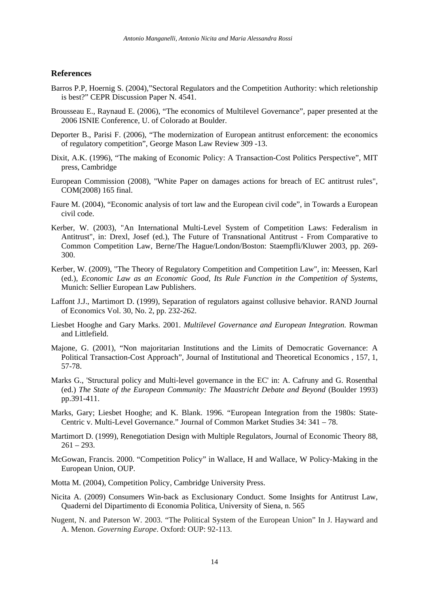#### **References**

- Barros P.P, Hoernig S. (2004),"Sectoral Regulators and the Competition Authority: which reletionship is best?" CEPR Discussion Paper N. 4541.
- Brousseau E., Raynaud E. (2006), "The economics of Multilevel Governance", paper presented at the 2006 ISNIE Conference, U. of Colorado at Boulder.
- Deporter B., Parisi F. (2006), "The modernization of European antitrust enforcement: the economics of regulatory competition", George Mason Law Review 309 -13.
- Dixit, A.K. (1996), "The making of Economic Policy: A Transaction-Cost Politics Perspective", MIT press, Cambridge
- European Commission (2008), "White Paper on damages actions for breach of EC antitrust rules", COM(2008) 165 final.
- Faure M. (2004), "Economic analysis of tort law and the European civil code", in Towards a European civil code.
- Kerber, W. (2003), "An International Multi-Level System of Competition Laws: Federalism in Antitrust", in: Drexl, Josef (ed.), The Future of Transnational Antitrust - From Comparative to Common Competition Law, Berne/The Hague/London/Boston: Staempfli/Kluwer 2003, pp. 269- 300.
- Kerber, W. (2009), "The Theory of Regulatory Competition and Competition Law", in: Meessen, Karl (ed.), *Economic Law as an Economic Good, Its Rule Function in the Competition of Systems*, Munich: Sellier European Law Publishers.
- Laffont J.J., Martimort D. (1999), Separation of regulators against collusive behavior. RAND Journal of Economics Vol. 30, No. 2, pp. 232-262.
- Liesbet Hooghe and Gary Marks. 2001. *Multilevel Governance and European Integration.* Rowman and Littlefield.
- Majone, G. (2001), "Non majoritarian Institutions and the Limits of Democratic Governance: A Political Transaction-Cost Approach", Journal of Institutional and Theoretical Economics , 157, 1, 57-78.
- Marks G., 'Structural policy and Multi-level governance in the EC' in: A. Cafruny and G. Rosenthal (ed.) *The State of the European Community: The Maastricht Debate and Beyond* (Boulder 1993) pp.391-411.
- Marks, Gary; Liesbet Hooghe; and K. Blank. 1996. "European Integration from the 1980s: State-Centric v. Multi-Level Governance." Journal of Common Market Studies 34: 341 – 78.
- Martimort D. (1999), Renegotiation Design with Multiple Regulators, Journal of Economic Theory 88,  $261 - 293.$
- McGowan, Francis. 2000. "Competition Policy" in Wallace, H and Wallace, W Policy-Making in the European Union, OUP.
- Motta M. (2004), Competition Policy, Cambridge University Press.
- Nicita A. (2009) Consumers Win-back as Exclusionary Conduct. Some Insights for Antitrust Law, Quaderni del Dipartimento di Economia Politica, University of Siena, n. 565
- Nugent, N. and Paterson W. 2003. "The Political System of the European Union" In J. Hayward and A. Menon. *Governing Europe*. Oxford: OUP: 92-113.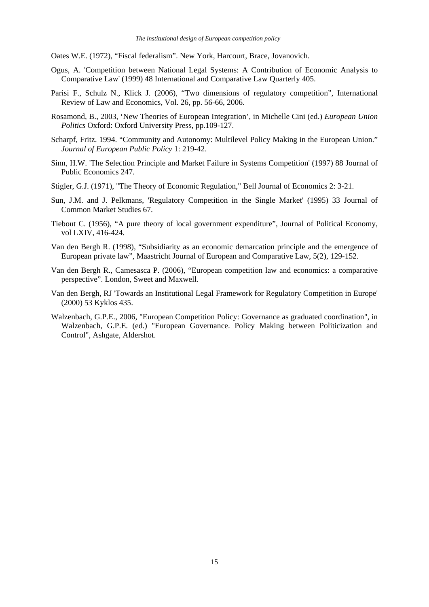Oates W.E. (1972), "Fiscal federalism". New York, Harcourt, Brace, Jovanovich.

- Ogus, A. 'Competition between National Legal Systems: A Contribution of Economic Analysis to Comparative Law' (1999) 48 International and Comparative Law Quarterly 405.
- Parisi F., Schulz N., Klick J. (2006), "Two dimensions of regulatory competition", International Review of Law and Economics*,* Vol. 26, pp. 56-66, 2006.
- Rosamond, B., 2003, 'New Theories of European Integration', in Michelle Cini (ed.) *European Union Politics* Oxford: Oxford University Press, pp.109-127.
- Scharpf, Fritz. 1994. "Community and Autonomy: Multilevel Policy Making in the European Union." *Journal of European Public Policy* 1: 219-42.
- Sinn, H.W. 'The Selection Principle and Market Failure in Systems Competition' (1997) 88 Journal of Public Economics 247.
- Stigler, G.J. (1971), "The Theory of Economic Regulation," Bell Journal of Economics 2: 3-21.
- Sun, J.M. and J. Pelkmans, 'Regulatory Competition in the Single Market' (1995) 33 Journal of Common Market Studies 67.
- Tiebout C. (1956), "A pure theory of local government expenditure", Journal of Political Economy, vol LXIV, 416-424.
- Van den Bergh R. (1998), "Subsidiarity as an economic demarcation principle and the emergence of European private law", Maastricht Journal of European and Comparative Law, 5(2), 129-152.
- Van den Bergh R., Camesasca P. (2006), "European competition law and economics: a comparative perspective". London, Sweet and Maxwell.
- Van den Bergh, RJ 'Towards an Institutional Legal Framework for Regulatory Competition in Europe' (2000) 53 Kyklos 435.
- Walzenbach, G.P.E., 2006, "European Competition Policy: Governance as graduated coordination", in Walzenbach, G.P.E. (ed.) "European Governance. Policy Making between Politicization and Control", Ashgate, Aldershot.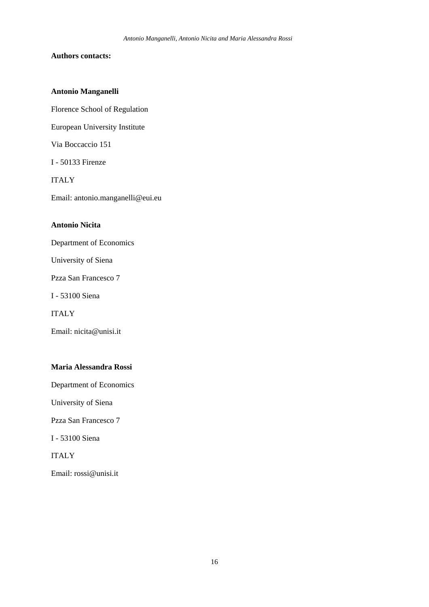**Authors contacts:** 

### **Antonio Manganelli**

Florence School of Regulation

European University Institute

Via Boccaccio 151

I - 50133 Firenze

ITALY

Email: [antonio.manganelli@eui.eu](mailto:antonio.manganelli@eui.eu) 

# **Antonio Nicita**

Department of Economics

University of Siena

Pzza San Francesco 7

I - 53100 Siena

ITALY

Email: [nicita@unisi.it](mailto:nicita@unisi.it) 

# **Maria Alessandra Rossi**

Department of Economics

University of Siena

Pzza San Francesco 7

I - 53100 Siena

# ITALY

Email: [rossi@unisi.it](mailto:rossi@unisi.it)